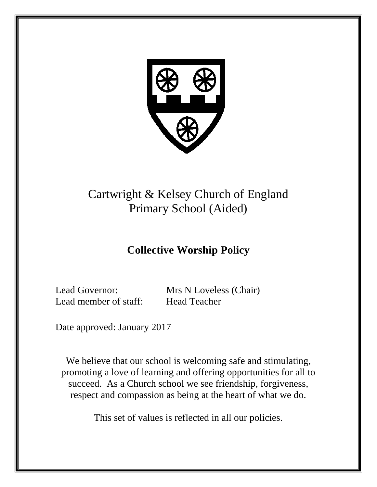

# Cartwright & Kelsey Church of England Primary School (Aided)

# **Collective Worship Policy**

Lead member of staff: Head Teacher

Lead Governor: Mrs N Loveless (Chair)

Date approved: January 2017

We believe that our school is welcoming safe and stimulating, promoting a love of learning and offering opportunities for all to succeed. As a Church school we see friendship, forgiveness, respect and compassion as being at the heart of what we do.

This set of values is reflected in all our policies.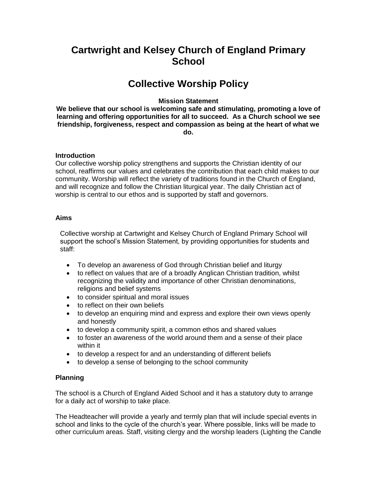# **Cartwright and Kelsey Church of England Primary School**

# **Collective Worship Policy**

## **Mission Statement**

**We believe that our school is welcoming safe and stimulating, promoting a love of learning and offering opportunities for all to succeed. As a Church school we see friendship, forgiveness, respect and compassion as being at the heart of what we do.**

## **Introduction**

Our collective worship policy strengthens and supports the Christian identity of our school, reaffirms our values and celebrates the contribution that each child makes to our community. Worship will reflect the variety of traditions found in the Church of England, and will recognize and follow the Christian liturgical year. The daily Christian act of worship is central to our ethos and is supported by staff and governors.

## **Aims**

Collective worship at Cartwright and Kelsey Church of England Primary School will support the school's Mission Statement, by providing opportunities for students and staff:

- To develop an awareness of God through Christian belief and liturgy
- to reflect on values that are of a broadly Anglican Christian tradition, whilst recognizing the validity and importance of other Christian denominations, religions and belief systems
- to consider spiritual and moral issues
- to reflect on their own beliefs
- to develop an enquiring mind and express and explore their own views openly and honestly
- to develop a community spirit, a common ethos and shared values
- to foster an awareness of the world around them and a sense of their place within it
- to develop a respect for and an understanding of different beliefs
- to develop a sense of belonging to the school community

## **Planning**

The school is a Church of England Aided School and it has a statutory duty to arrange for a daily act of worship to take place.

The Headteacher will provide a yearly and termly plan that will include special events in school and links to the cycle of the church's year. Where possible, links will be made to other curriculum areas. Staff, visiting clergy and the worship leaders (Lighting the Candle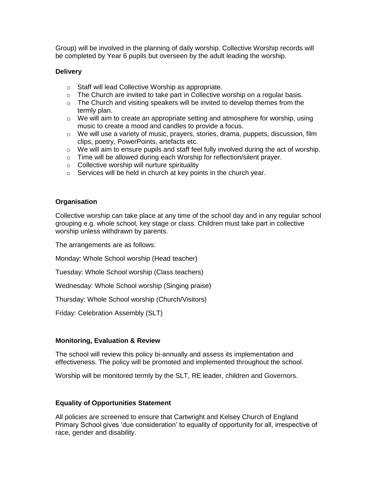Group) will be involved in the planning of daily worship. Collective Worship records will be completed by Year 6 pupils but overseen by the adult leading the worship.

#### **Delivery**

- o Staff will lead Collective Worship as appropriate.
- $\circ$  The Church are invited to take part in Collective worship on a regular basis.
- $\circ$  The Church and visiting speakers will be invited to develop themes from the termly plan.
- $\circ$  We will aim to create an appropriate setting and atmosphere for worship, using music to create a mood and candles to provide a focus.
- $\circ$  We will use a variety of music, prayers, stories, drama, puppets, discussion, film clips, poetry, PowerPoints, artefacts etc.
- o We will aim to ensure pupils and staff feel fully involved during the act of worship.
- o Time will be allowed during each Worship for reflection/silent prayer.
- o Collective worship will nurture spirituality
- o Services will be held in church at key points in the church year.

#### **Organisation**

Collective worship can take place at any time of the school day and in any regular school grouping e.g. whole school, key stage or class. Children must take part in collective worship unless withdrawn by parents.

The arrangements are as follows:

Monday: Whole School worship (Head teacher)

Tuesday: Whole School worship (Class teachers)

Wednesday: Whole School worship (Singing praise)

Thursday: Whole School worship (Church/Visitors)

Friday: Celebration Assembly (SLT)

#### **Monitoring, Evaluation & Review**

The school will review this policy bi-annually and assess its implementation and effectiveness. The policy will be promoted and implemented throughout the school.

Worship will be monitored termly by the SLT, RE leader, children and Governors.

#### **Equality of Opportunities Statement**

All policies are screened to ensure that Cartwright and Kelsey Church of England Primary School gives 'due consideration' to equality of opportunity for all, irrespective of race, gender and disability.